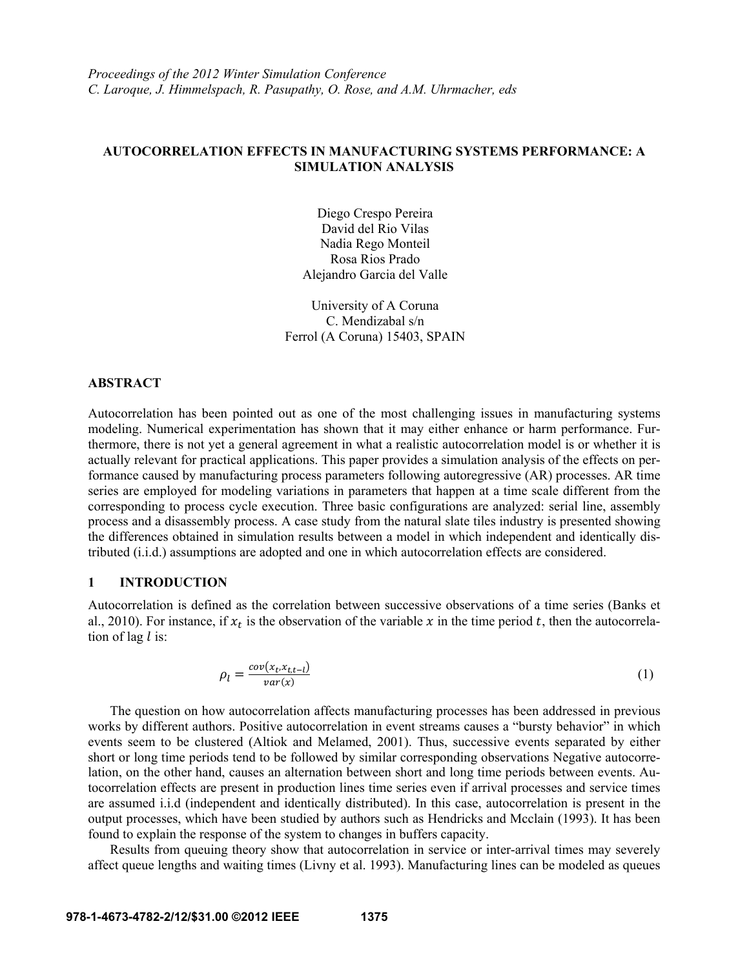## **AUTOCORRELATION EFFECTS IN MANUFACTURING SYSTEMS PERFORMANCE: A SIMULATION ANALYSIS**

Diego Crespo Pereira David del Rio Vilas Nadia Rego Monteil Rosa Rios Prado Alejandro Garcia del Valle

University of A Coruna C. Mendizabal s/n Ferrol (A Coruna) 15403, SPAIN

## **ABSTRACT**

Autocorrelation has been pointed out as one of the most challenging issues in manufacturing systems modeling. Numerical experimentation has shown that it may either enhance or harm performance. Furthermore, there is not yet a general agreement in what a realistic autocorrelation model is or whether it is actually relevant for practical applications. This paper provides a simulation analysis of the effects on performance caused by manufacturing process parameters following autoregressive (AR) processes. AR time series are employed for modeling variations in parameters that happen at a time scale different from the corresponding to process cycle execution. Three basic configurations are analyzed: serial line, assembly process and a disassembly process. A case study from the natural slate tiles industry is presented showing the differences obtained in simulation results between a model in which independent and identically distributed (i.i.d.) assumptions are adopted and one in which autocorrelation effects are considered.

#### **1 INTRODUCTION**

Autocorrelation is defined as the correlation between successive observations of a time series (Banks et al., 2010). For instance, if  $x_t$  is the observation of the variable x in the time period t, then the autocorrelation of lag  $l$  is:

$$
\rho_l = \frac{cov(x_t, x_{t,t-l})}{var(x)}
$$
\n(1)

The question on how autocorrelation affects manufacturing processes has been addressed in previous works by different authors. Positive autocorrelation in event streams causes a "bursty behavior" in which events seem to be clustered (Altiok and Melamed, 2001). Thus, successive events separated by either short or long time periods tend to be followed by similar corresponding observations Negative autocorrelation, on the other hand, causes an alternation between short and long time periods between events. Autocorrelation effects are present in production lines time series even if arrival processes and service times are assumed i.i.d (independent and identically distributed). In this case, autocorrelation is present in the output processes, which have been studied by authors such as Hendricks and Mcclain (1993). It has been found to explain the response of the system to changes in buffers capacity.

Results from queuing theory show that autocorrelation in service or inter-arrival times may severely affect queue lengths and waiting times (Livny et al. 1993). Manufacturing lines can be modeled as queues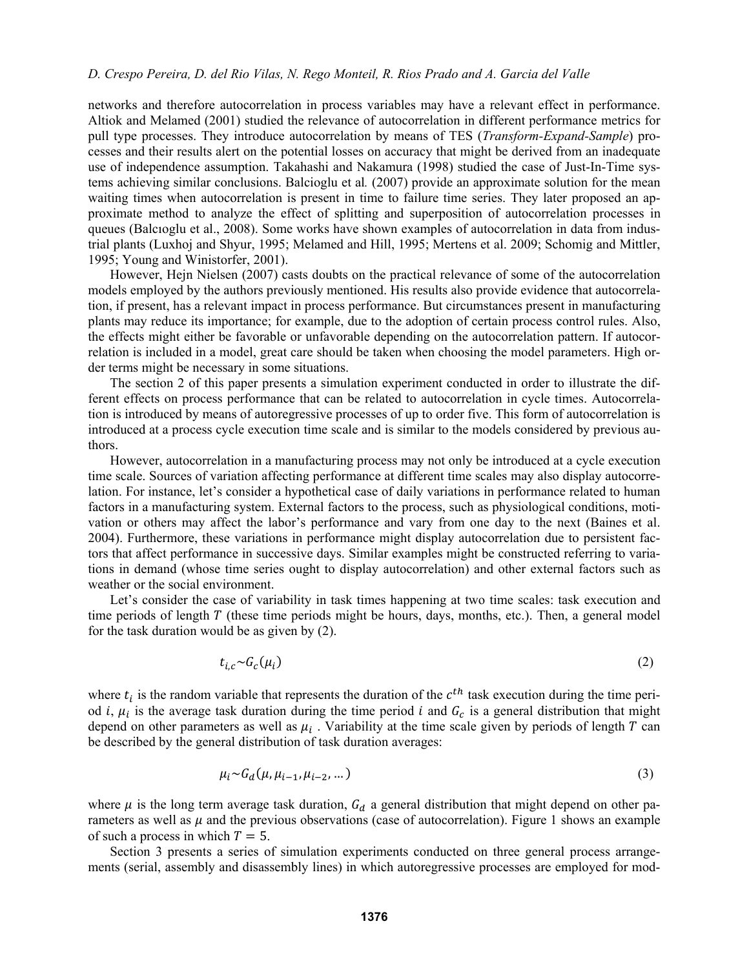networks and therefore autocorrelation in process variables may have a relevant effect in performance. Altiok and Melamed (2001) studied the relevance of autocorrelation in different performance metrics for pull type processes. They introduce autocorrelation by means of TES (*Transform-Expand-Sample*) processes and their results alert on the potential losses on accuracy that might be derived from an inadequate use of independence assumption. Takahashi and Nakamura (1998) studied the case of Just-In-Time systems achieving similar conclusions. Balcioglu et al*.* (2007) provide an approximate solution for the mean waiting times when autocorrelation is present in time to failure time series. They later proposed an approximate method to analyze the effect of splitting and superposition of autocorrelation processes in queues (Balcıoglu et al., 2008). Some works have shown examples of autocorrelation in data from industrial plants (Luxhoj and Shyur, 1995; Melamed and Hill, 1995; Mertens et al. 2009; Schomig and Mittler, 1995; Young and Winistorfer, 2001).

However, Hejn Nielsen (2007) casts doubts on the practical relevance of some of the autocorrelation models employed by the authors previously mentioned. His results also provide evidence that autocorrelation, if present, has a relevant impact in process performance. But circumstances present in manufacturing plants may reduce its importance; for example, due to the adoption of certain process control rules. Also, the effects might either be favorable or unfavorable depending on the autocorrelation pattern. If autocorrelation is included in a model, great care should be taken when choosing the model parameters. High order terms might be necessary in some situations.

The section 2 of this paper presents a simulation experiment conducted in order to illustrate the different effects on process performance that can be related to autocorrelation in cycle times. Autocorrelation is introduced by means of autoregressive processes of up to order five. This form of autocorrelation is introduced at a process cycle execution time scale and is similar to the models considered by previous authors.

However, autocorrelation in a manufacturing process may not only be introduced at a cycle execution time scale. Sources of variation affecting performance at different time scales may also display autocorrelation. For instance, let's consider a hypothetical case of daily variations in performance related to human factors in a manufacturing system. External factors to the process, such as physiological conditions, motivation or others may affect the labor's performance and vary from one day to the next (Baines et al. 2004). Furthermore, these variations in performance might display autocorrelation due to persistent factors that affect performance in successive days. Similar examples might be constructed referring to variations in demand (whose time series ought to display autocorrelation) and other external factors such as weather or the social environment.

Let's consider the case of variability in task times happening at two time scales: task execution and time periods of length  $T$  (these time periods might be hours, days, months, etc.). Then, a general model for the task duration would be as given by (2).

$$
t_{i,c} \sim G_c(\mu_i) \tag{2}
$$

where  $t_i$  is the random variable that represents the duration of the  $c^{th}$  task execution during the time period *i*,  $\mu_i$  is the average task duration during the time period *i* and  $G_c$  is a general distribution that might depend on other parameters as well as  $\mu_i$ . Variability at the time scale given by periods of length T can be described by the general distribution of task duration averages:

$$
\mu_i \sim G_d(\mu, \mu_{i-1}, \mu_{i-2}, \dots) \tag{3}
$$

where  $\mu$  is the long term average task duration,  $G_d$  a general distribution that might depend on other parameters as well as  $\mu$  and the previous observations (case of autocorrelation). Figure 1 shows an example of such a process in which  $T = 5$ .

Section 3 presents a series of simulation experiments conducted on three general process arrangements (serial, assembly and disassembly lines) in which autoregressive processes are employed for mod-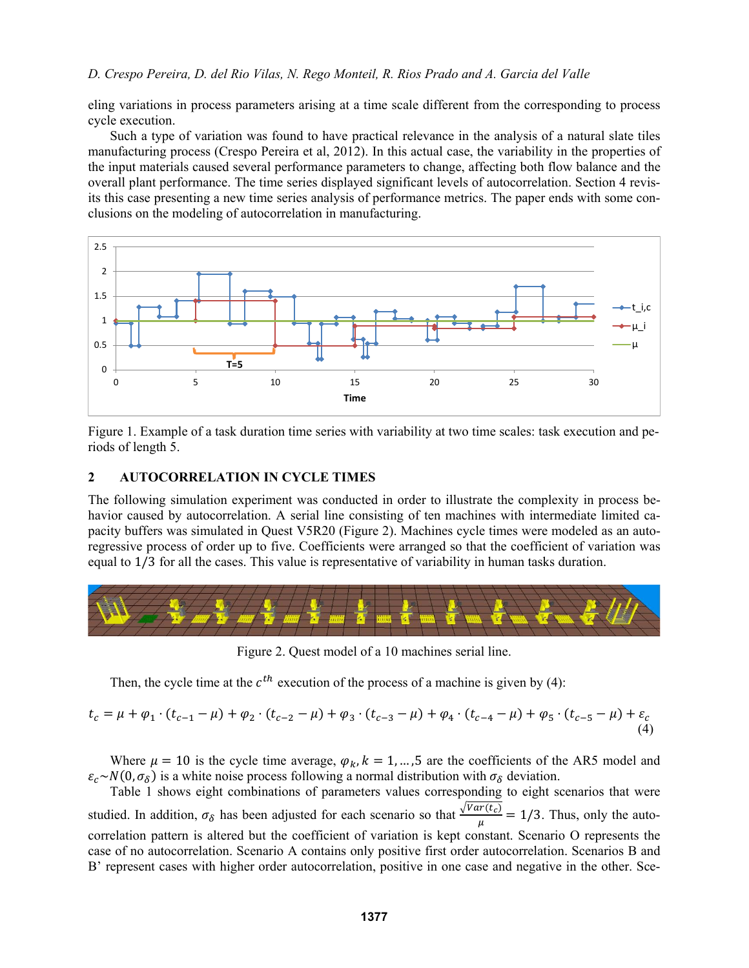eling variations in process parameters arising at a time scale different from the corresponding to process cycle execution.

Such a type of variation was found to have practical relevance in the analysis of a natural slate tiles manufacturing process (Crespo Pereira et al, 2012). In this actual case, the variability in the properties of the input materials caused several performance parameters to change, affecting both flow balance and the overall plant performance. The time series displayed significant levels of autocorrelation. Section 4 revisits this case presenting a new time series analysis of performance metrics. The paper ends with some conclusions on the modeling of autocorrelation in manufacturing.



Figure 1. Example of a task duration time series with variability at two time scales: task execution and periods of length 5.

#### **2 AUTOCORRELATION IN CYCLE TIMES**

The following simulation experiment was conducted in order to illustrate the complexity in process behavior caused by autocorrelation. A serial line consisting of ten machines with intermediate limited capacity buffers was simulated in Quest V5R20 (Figure 2). Machines cycle times were modeled as an autoregressive process of order up to five. Coefficients were arranged so that the coefficient of variation was equal to 1/3 for all the cases. This value is representative of variability in human tasks duration.



Figure 2. Quest model of a 10 machines serial line.

Then, the cycle time at the  $c^{th}$  execution of the process of a machine is given by (4):

$$
t_c = \mu + \varphi_1 \cdot (t_{c-1} - \mu) + \varphi_2 \cdot (t_{c-2} - \mu) + \varphi_3 \cdot (t_{c-3} - \mu) + \varphi_4 \cdot (t_{c-4} - \mu) + \varphi_5 \cdot (t_{c-5} - \mu) + \varepsilon_c
$$
\n(4)

Where  $\mu = 10$  is the cycle time average,  $\varphi_k$ ,  $k = 1, ..., 5$  are the coefficients of the AR5 model and  $\varepsilon_c \sim N(0, \sigma_\delta)$  is a white noise process following a normal distribution with  $\sigma_\delta$  deviation.

Table 1 shows eight combinations of parameters values corresponding to eight scenarios that were studied. In addition,  $\sigma_{\delta}$  has been adjusted for each scenario so that  $\frac{\sqrt{Var(t_c)}}{\mu} = 1/3$ . Thus, only the autocorrelation pattern is altered but the coefficient of variation is kept constant. Scenario O represents the case of no autocorrelation. Scenario A contains only positive first order autocorrelation. Scenarios B and B' represent cases with higher order autocorrelation, positive in one case and negative in the other. Sce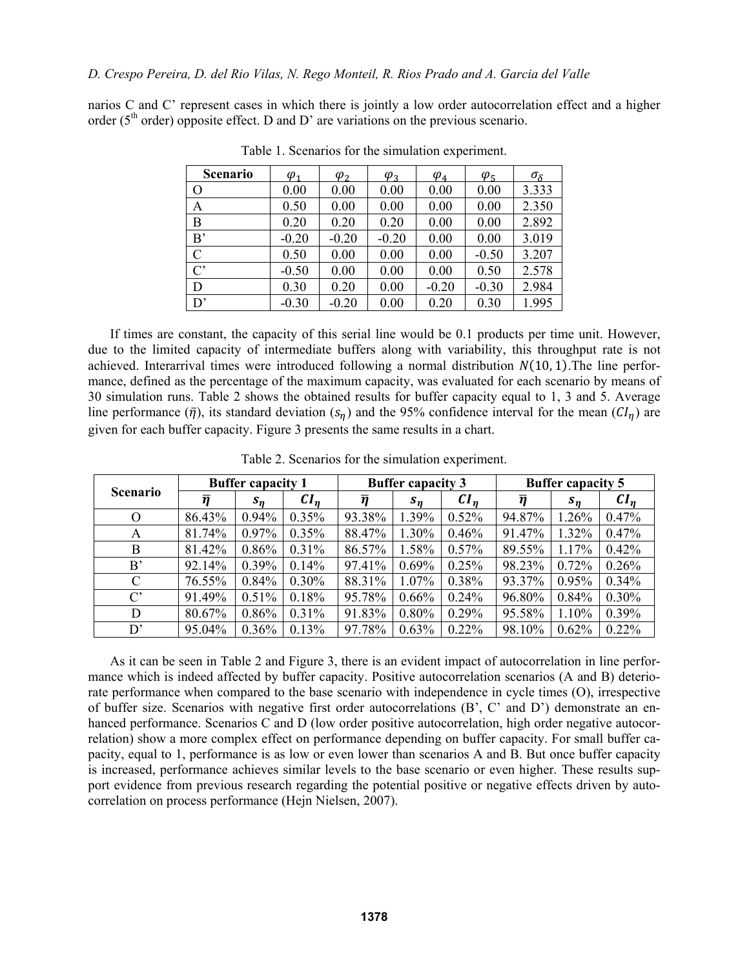narios C and C' represent cases in which there is jointly a low order autocorrelation effect and a higher order ( $5<sup>th</sup>$  order) opposite effect. D and D' are variations on the previous scenario.

| Scenario       | $\varphi_1$ | $\varphi$ | $\varphi$ <sub>3</sub> | $\varphi_4$ | $\varphi_5$ | $\sigma_{\delta}$ |
|----------------|-------------|-----------|------------------------|-------------|-------------|-------------------|
| $\overline{O}$ | 0.00        | 0.00      | 0.00                   | 0.00        | 0.00        | 3.333             |
| A              | 0.50        | 0.00      | 0.00                   | 0.00        | 0.00        | 2.350             |
| B              | 0.20        | 0.20      | 0.20                   | 0.00        | 0.00        | 2.892             |
| B'             | $-0.20$     | $-0.20$   | $-0.20$                | 0.00        | 0.00        | 3.019             |
| $\mathcal{C}$  | 0.50        | 0.00      | 0.00                   | 0.00        | $-0.50$     | 3.207             |
| $C^{\prime}$   | $-0.50$     | 0.00      | 0.00                   | 0.00        | 0.50        | 2.578             |
| D              | 0.30        | 0.20      | 0.00                   | $-0.20$     | $-0.30$     | 2.984             |
| D'             | $-0.30$     | $-0.20$   | 0.00                   | 0.20        | 0.30        | 1.995             |

Table 1. Scenarios for the simulation experiment.

If times are constant, the capacity of this serial line would be 0.1 products per time unit. However, due to the limited capacity of intermediate buffers along with variability, this throughput rate is not achieved. Interarrival times were introduced following a normal distribution  $N(10, 1)$ . The line performance, defined as the percentage of the maximum capacity, was evaluated for each scenario by means of 30 simulation runs. Table 2 shows the obtained results for buffer capacity equal to 1, 3 and 5. Average line performance  $(\bar{\eta})$ , its standard deviation  $(s_{\eta})$  and the 95% confidence interval for the mean  $(Cl_{\eta})$  are given for each buffer capacity. Figure 3 presents the same results in a chart.

| <b>Scenario</b> | <b>Buffer capacity 1</b> |          |          | <b>Buffer capacity 3</b> |          |          | <b>Buffer capacity 5</b> |          |          |
|-----------------|--------------------------|----------|----------|--------------------------|----------|----------|--------------------------|----------|----------|
|                 | $\overline{\eta}$        | $s_n$    | $CI_n$   | $\overline{\eta}$        | $s_n$    | $CI_n$   | $\overline{\eta}$        | $s_n$    | $CI_n$   |
| $\Omega$        | 86.43%                   | $0.94\%$ | 0.35%    | 93.38%                   | 1.39%    | 0.52%    | 94.87%                   | 1.26%    | 0.47%    |
| A               | 81.74%                   | $0.97\%$ | $0.35\%$ | 88.47%                   | 1.30%    | 0.46%    | 91.47%                   | 1.32%    | 0.47%    |
| B               | 81.42%                   | 0.86%    | $0.31\%$ | 86.57%                   | 1.58%    | $0.57\%$ | 89.55%                   | 1.17%    | 0.42%    |
| B'              | 92.14%                   | $0.39\%$ | 0.14%    | 97.41%                   | 0.69%    | 0.25%    | 98.23%                   | 0.72%    | 0.26%    |
| $\mathcal{C}$   | 76.55%                   | 0.84%    | $0.30\%$ | 88.31%                   | $1.07\%$ | 0.38%    | 93.37%                   | $0.95\%$ | $0.34\%$ |
| $C^{\prime}$    | 91.49%                   | 0.51%    | 0.18%    | 95.78%                   | 0.66%    | 0.24%    | 96.80%                   | 0.84%    | 0.30%    |
| D               | 80.67%                   | 0.86%    | 0.31%    | 91.83%                   | $0.80\%$ | 0.29%    | 95.58%                   | 1.10%    | 0.39%    |
| D'              | 95.04%                   | 0.36%    | 0.13%    | 97.78%                   | 0.63%    | 0.22%    | 98.10%                   | 0.62%    | $0.22\%$ |

Table 2. Scenarios for the simulation experiment.

As it can be seen in Table 2 and Figure 3, there is an evident impact of autocorrelation in line performance which is indeed affected by buffer capacity. Positive autocorrelation scenarios (A and B) deteriorate performance when compared to the base scenario with independence in cycle times (O), irrespective of buffer size. Scenarios with negative first order autocorrelations (B', C' and D') demonstrate an enhanced performance. Scenarios C and D (low order positive autocorrelation, high order negative autocorrelation) show a more complex effect on performance depending on buffer capacity. For small buffer capacity, equal to 1, performance is as low or even lower than scenarios A and B. But once buffer capacity is increased, performance achieves similar levels to the base scenario or even higher. These results support evidence from previous research regarding the potential positive or negative effects driven by autocorrelation on process performance (Hejn Nielsen, 2007).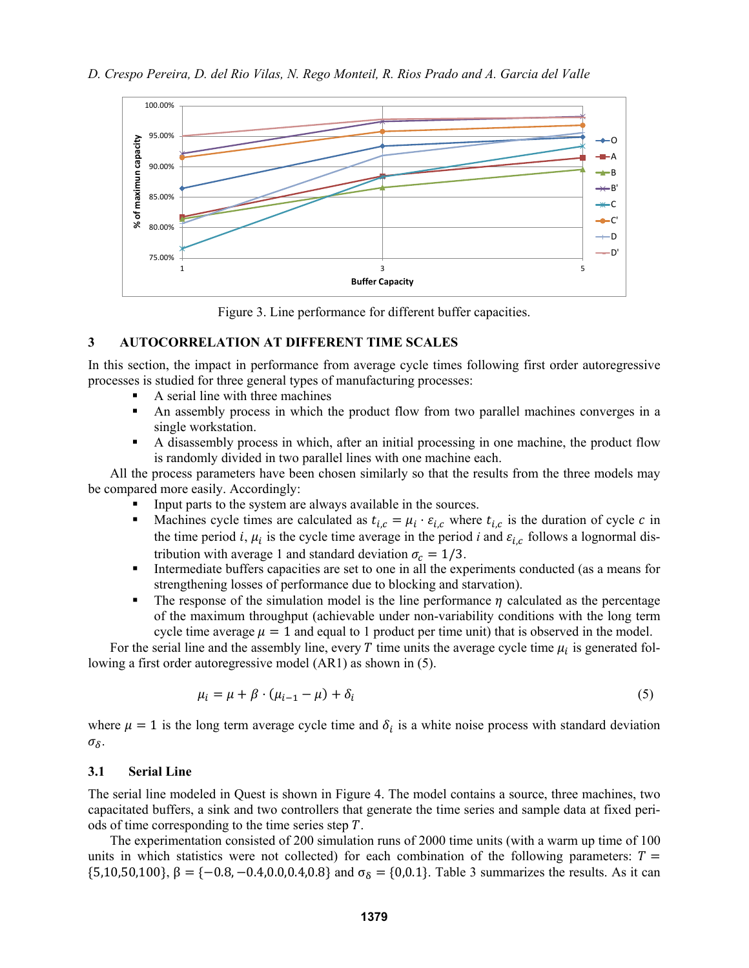

Figure 3. Line performance for different buffer capacities.

## **3 AUTOCORRELATION AT DIFFERENT TIME SCALES**

In this section, the impact in performance from average cycle times following first order autoregressive processes is studied for three general types of manufacturing processes:

- A serial line with three machines
- An assembly process in which the product flow from two parallel machines converges in a single workstation.
- A disassembly process in which, after an initial processing in one machine, the product flow is randomly divided in two parallel lines with one machine each.

All the process parameters have been chosen similarly so that the results from the three models may be compared more easily. Accordingly:

- Input parts to the system are always available in the sources.
- Machines cycle times are calculated as  $t_{i,c} = \mu_i \cdot \varepsilon_{i,c}$  where  $t_{i,c}$  is the duration of cycle c in the time period *i*,  $\mu_i$  is the cycle time average in the period *i* and  $\varepsilon_{i,c}$  follows a lognormal distribution with average 1 and standard deviation  $\sigma_c = 1/3$ .
- Intermediate buffers capacities are set to one in all the experiments conducted (as a means for strengthening losses of performance due to blocking and starvation).
- The response of the simulation model is the line performance  $\eta$  calculated as the percentage of the maximum throughput (achievable under non-variability conditions with the long term cycle time average  $\mu = 1$  and equal to 1 product per time unit) that is observed in the model.

For the serial line and the assembly line, every T time units the average cycle time  $\mu_i$  is generated following a first order autoregressive model (AR1) as shown in (5).

$$
\mu_i = \mu + \beta \cdot (\mu_{i-1} - \mu) + \delta_i \tag{5}
$$

where  $\mu = 1$  is the long term average cycle time and  $\delta_i$  is a white noise process with standard deviation  $\sigma_{\delta}$ .

#### **3.1 Serial Line**

The serial line modeled in Quest is shown in Figure 4. The model contains a source, three machines, two capacitated buffers, a sink and two controllers that generate the time series and sample data at fixed periods of time corresponding to the time series step  $T$ .

The experimentation consisted of 200 simulation runs of 2000 time units (with a warm up time of 100 units in which statistics were not collected) for each combination of the following parameters:  $T =$ {5,10,50,100},  $\beta = \{-0.8, -0.4, 0.0, 0.4, 0.8\}$  and  $\sigma_{\delta} = \{0.0.1\}$ . Table 3 summarizes the results. As it can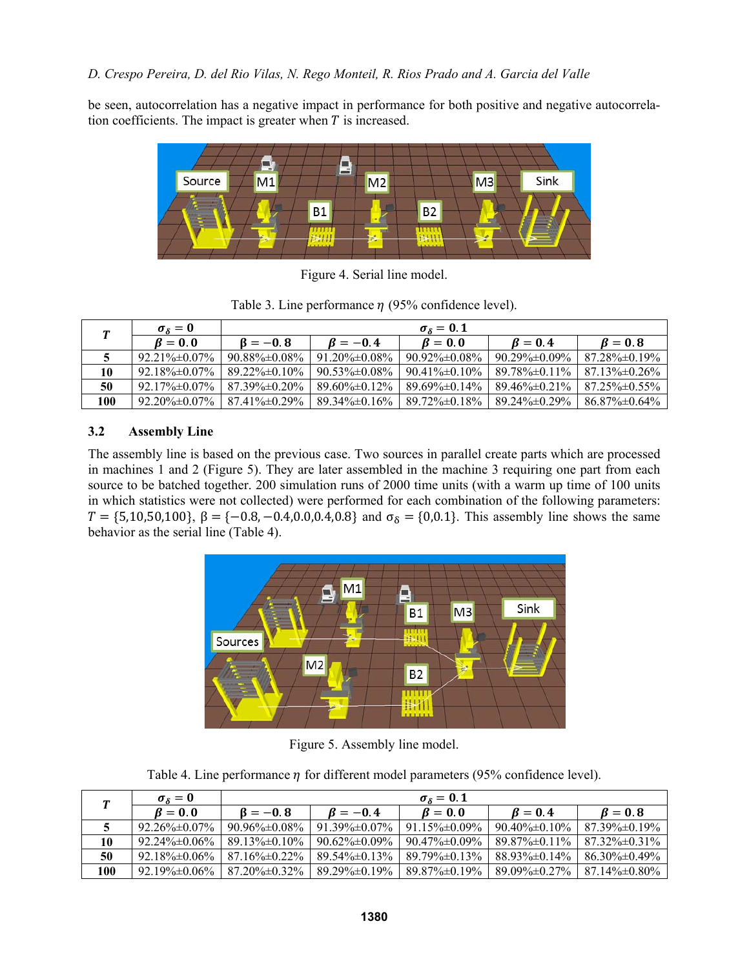be seen, autocorrelation has a negative impact in performance for both positive and negative autocorrelation coefficients. The impact is greater when  $T$  is increased.



Figure 4. Serial line model.

Table 3. Line performance  $\eta$  (95% confidence level).

| π.  | $\sigma_{\delta}=0$               |                      | $\sigma_s = 0.1$     |                                   |                      |                      |  |  |  |
|-----|-----------------------------------|----------------------|----------------------|-----------------------------------|----------------------|----------------------|--|--|--|
|     | $\mathbf{\beta} = \mathbf{0}$ , 0 | $B = -0.8$           | $B=-0.4$             | $\mathbf{\beta} = \mathbf{0}$ , 0 | $B=0.4$              | $B=0.8$              |  |  |  |
|     | $92.21\% \pm 0.07\%$              | $90.88\% \pm 0.08\%$ | $91.20\% \pm 0.08\%$ | $90.92\% \pm 0.08\%$              | $90.29\% \pm 0.09\%$ | $87.28\% \pm 0.19\%$ |  |  |  |
| 10  | $92.18\% \pm 0.07\%$              | $89.22\% \pm 0.10\%$ | $90.53\% \pm 0.08\%$ | $90.41\% \pm 0.10\%$              | $89.78\% \pm 0.11\%$ | $87.13\% \pm 0.26\%$ |  |  |  |
| 50  | $92.17\% \pm 0.07\%$              | $87.39\% \pm 0.20\%$ | $89.60\% \pm 0.12\%$ | $89.69\% \pm 0.14\%$              | $89.46\% \pm 0.21\%$ | $87.25\% \pm 0.55\%$ |  |  |  |
| 100 | $92.20\% \pm 0.07\%$              | $87.41\% \pm 0.29\%$ | $89.34\% \pm 0.16\%$ | $89.72\% \pm 0.18\%$              | 89.24% ± 0.29%       | $86.87\% \pm 0.64\%$ |  |  |  |

# **3.2 Assembly Line**

The assembly line is based on the previous case. Two sources in parallel create parts which are processed in machines 1 and 2 (Figure 5). They are later assembled in the machine 3 requiring one part from each source to be batched together. 200 simulation runs of 2000 time units (with a warm up time of 100 units in which statistics were not collected) were performed for each combination of the following parameters:  $T = \{5,10,50,100\}, \beta = \{-0.8,-0.4,0.0,0.4,0.8\}$  and  $\sigma_{\delta} = \{0,0.1\}.$  This assembly line shows the same behavior as the serial line (Table 4).



Figure 5. Assembly line model.

Table 4. Line performance  $\eta$  for different model parameters (95% confidence level).

|     | $\sigma_{\delta}=0$               |                      | $\sigma_{\delta}=0.1$ |                                           |                      |                                   |  |  |  |
|-----|-----------------------------------|----------------------|-----------------------|-------------------------------------------|----------------------|-----------------------------------|--|--|--|
|     | $\mathbf{\beta} = \mathbf{0}$ , 0 | $\beta = -0.8$       | $B=-0.4$              | $\mathbf{\beta} = \mathbf{0}, \mathbf{0}$ | $B=0.4$              | $\mathbf{\beta} = \mathbf{0}$ , 8 |  |  |  |
|     | $92.26\% \pm 0.07\%$              | $90.96\% \pm 0.08\%$ | $91.39\% \pm 0.07\%$  | $91.15\% \pm 0.09\%$                      | $90.40\% \pm 0.10\%$ | $87.39\% \pm 0.19\%$              |  |  |  |
| 10  | $92.24\% \pm 0.06\%$              | $89.13\% \pm 0.10\%$ | $90.62\% \pm 0.09\%$  | 90.47%±0.09%                              | 89.87% ± 0.11%       | $87.32\% \pm 0.31\%$              |  |  |  |
| 50  | $92.18\% \pm 0.06\%$              | $87.16\% \pm 0.22\%$ | $89.54\% \pm 0.13\%$  | 89.79%\times0.13%                         | $88.93\% \pm 0.14\%$ | $86.30\% \pm 0.49\%$              |  |  |  |
| 100 | $92.19\% \pm 0.06\%$              | $87.20\% \pm 0.32\%$ | 89.29%±0.19%          | $89.87\% \pm 0.19\%$                      | $89.09\% \pm 0.27\%$ | $87.14\% \pm 0.80\%$              |  |  |  |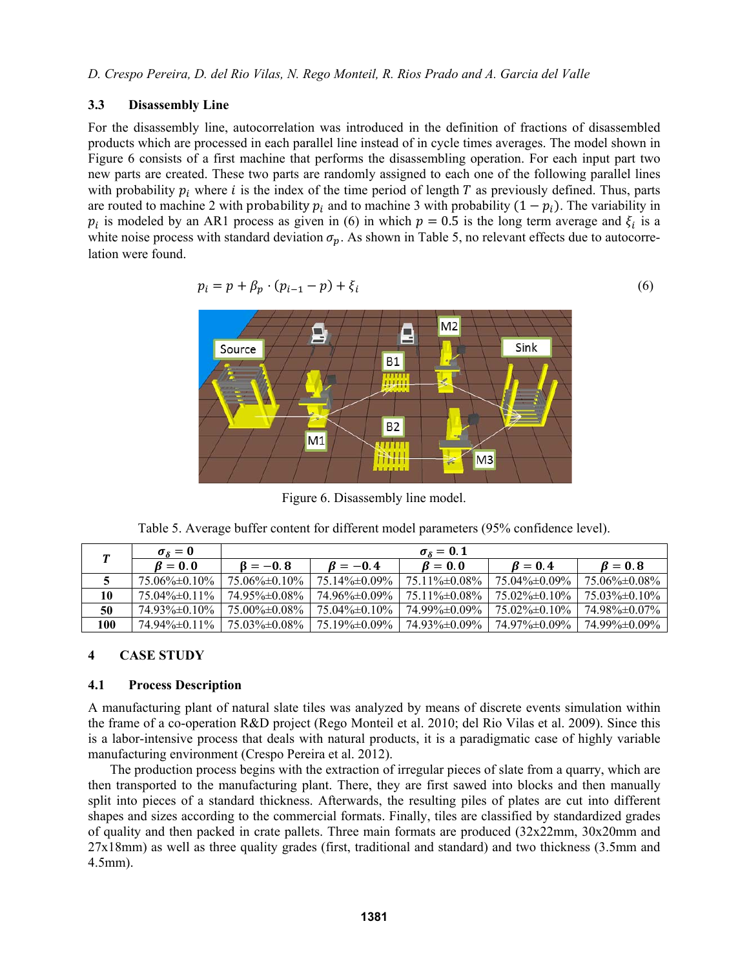## **3.3 Disassembly Line**

For the disassembly line, autocorrelation was introduced in the definition of fractions of disassembled products which are processed in each parallel line instead of in cycle times averages. The model shown in Figure 6 consists of a first machine that performs the disassembling operation. For each input part two new parts are created. These two parts are randomly assigned to each one of the following parallel lines with probability  $p_i$  where *i* is the index of the time period of length T as previously defined. Thus, parts are routed to machine 2 with probability  $p_i$  and to machine 3 with probability  $(1 - p_i)$ . The variability in  $p_i$  is modeled by an AR1 process as given in (6) in which  $p = 0.5$  is the long term average and  $\xi_i$  is a white noise process with standard deviation  $\sigma_p$ . As shown in Table 5, no relevant effects due to autocorrelation were found.

$$
p_i = p + \beta_p \cdot (p_{i-1} - p) + \xi_i \tag{6}
$$



Figure 6. Disassembly line model.

Table 5. Average buffer content for different model parameters (95% confidence level).

|     | $\sigma_{\delta}=0$  |                      | $\sigma_{\delta}=0.1$ |                                   |                      |                      |  |  |  |
|-----|----------------------|----------------------|-----------------------|-----------------------------------|----------------------|----------------------|--|--|--|
|     | $B=0.0$              | $B = -0.8$           | $B=-0.4$              | $\mathbf{\beta} = \mathbf{0}$ , 0 | $R=0.4$              | $B=0.8$              |  |  |  |
|     | 75.06% ± 0.10%       | $75.06\% \pm 0.10\%$ | $75.14\% \pm 0.09\%$  | $75.11\% \pm 0.08\%$              | 75.04% ± 0.09%       | $75.06\% \pm 0.08\%$ |  |  |  |
| 10  | 75.04% ± 0.11%       | 74.95% ± 0.08%       | 74.96%±0.09%          | $75.11\% \pm 0.08\%$              | $75.02\% \pm 0.10\%$ | 75.03\% $\pm 0.10\%$ |  |  |  |
| 50  | 74.93%\times0.10%    | $75.00\% \pm 0.08\%$ | $75.04\% \pm 0.10\%$  | 74.99%±0.09%                      | $75.02\% \pm 0.10\%$ | 74.98% ± 0.07%       |  |  |  |
| 100 | $74.94\% \pm 0.11\%$ | $75.03\% \pm 0.08\%$ | 75.19%±0.09%          | 74.93%±0.09%                      | 74.97% = 0.09%       | 74.99%±0.09%         |  |  |  |

## **4 CASE STUDY**

## **4.1 Process Description**

A manufacturing plant of natural slate tiles was analyzed by means of discrete events simulation within the frame of a co-operation R&D project (Rego Monteil et al. 2010; del Rio Vilas et al. 2009). Since this is a labor-intensive process that deals with natural products, it is a paradigmatic case of highly variable manufacturing environment (Crespo Pereira et al. 2012).

The production process begins with the extraction of irregular pieces of slate from a quarry, which are then transported to the manufacturing plant. There, they are first sawed into blocks and then manually split into pieces of a standard thickness. Afterwards, the resulting piles of plates are cut into different shapes and sizes according to the commercial formats. Finally, tiles are classified by standardized grades of quality and then packed in crate pallets. Three main formats are produced (32x22mm, 30x20mm and 27x18mm) as well as three quality grades (first, traditional and standard) and two thickness (3.5mm and 4.5mm).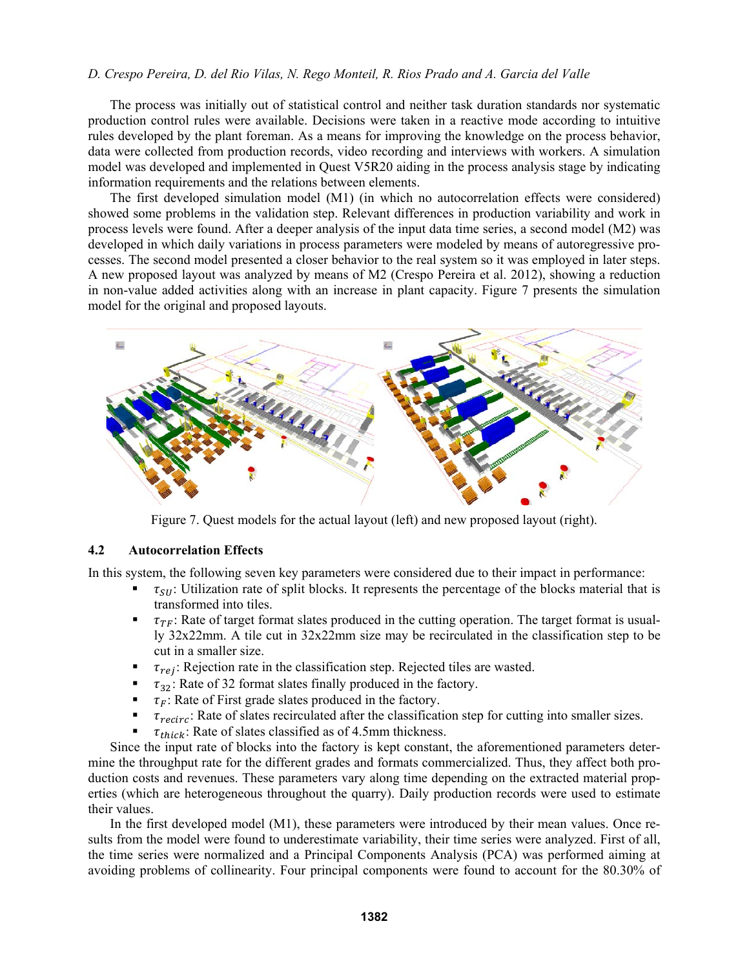The process was initially out of statistical control and neither task duration standards nor systematic production control rules were available. Decisions were taken in a reactive mode according to intuitive rules developed by the plant foreman. As a means for improving the knowledge on the process behavior, data were collected from production records, video recording and interviews with workers. A simulation model was developed and implemented in Quest V5R20 aiding in the process analysis stage by indicating information requirements and the relations between elements.

The first developed simulation model (M1) (in which no autocorrelation effects were considered) showed some problems in the validation step. Relevant differences in production variability and work in process levels were found. After a deeper analysis of the input data time series, a second model (M2) was developed in which daily variations in process parameters were modeled by means of autoregressive processes. The second model presented a closer behavior to the real system so it was employed in later steps. A new proposed layout was analyzed by means of M2 (Crespo Pereira et al. 2012), showing a reduction in non-value added activities along with an increase in plant capacity. Figure 7 presents the simulation model for the original and proposed layouts.



Figure 7. Quest models for the actual layout (left) and new proposed layout (right).

#### **4.2 Autocorrelation Effects**

In this system, the following seven key parameters were considered due to their impact in performance:

- $\tau_{SI}$ : Utilization rate of split blocks. It represents the percentage of the blocks material that is transformed into tiles.
- $\tau_{TF}$ : Rate of target format slates produced in the cutting operation. The target format is usually 32x22mm. A tile cut in 32x22mm size may be recirculated in the classification step to be cut in a smaller size.
- $\tau_{rej}$ : Rejection rate in the classification step. Rejected tiles are wasted.<br> $\tau_{22}$ : Rate of 32 format slates finally produced in the factory
- $\tau_{32}$ : Rate of 32 format slates finally produced in the factory.<br>  $\tau_{\rm r}$ : Rate of First grade slates produced in the factory
- $\tau_F$ : Rate of First grade slates produced in the factory.<br>  $\tau_{recirc}$ : Rate of slates recirculated after the classification
- $\tau_{recirc}$ : Rate of slates recirculated after the classification step for cutting into smaller sizes.
- $\tau_{thick}$ : Rate of slates classified as of 4.5mm thickness.

Since the input rate of blocks into the factory is kept constant, the aforementioned parameters determine the throughput rate for the different grades and formats commercialized. Thus, they affect both production costs and revenues. These parameters vary along time depending on the extracted material properties (which are heterogeneous throughout the quarry). Daily production records were used to estimate their values.

In the first developed model (M1), these parameters were introduced by their mean values. Once results from the model were found to underestimate variability, their time series were analyzed. First of all, the time series were normalized and a Principal Components Analysis (PCA) was performed aiming at avoiding problems of collinearity. Four principal components were found to account for the 80.30% of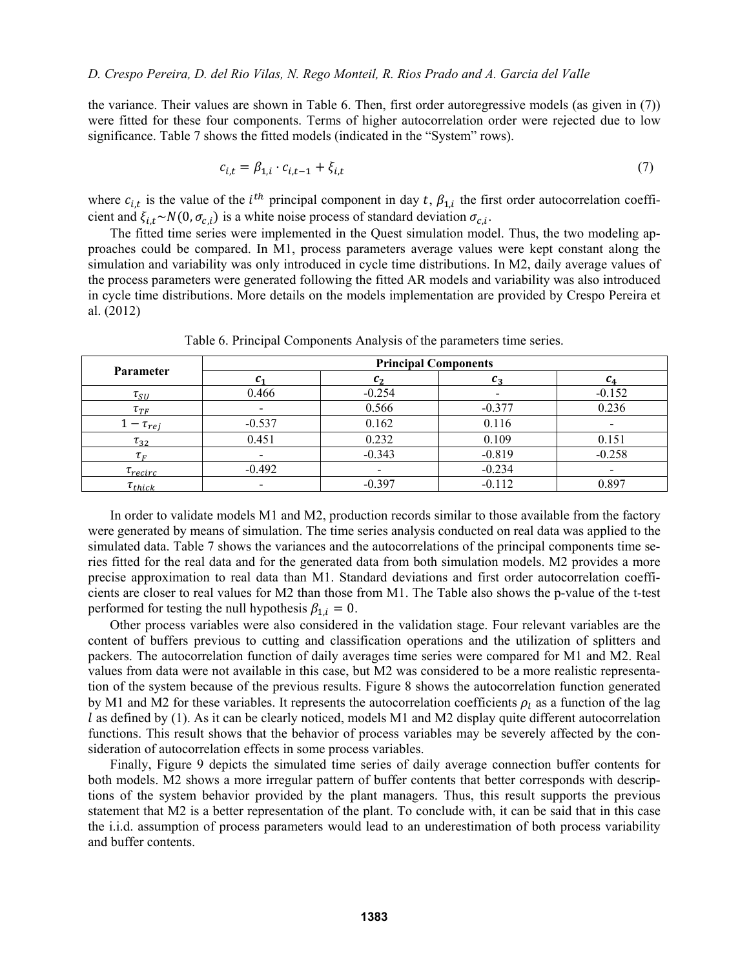the variance. Their values are shown in Table 6. Then, first order autoregressive models (as given in (7)) were fitted for these four components. Terms of higher autocorrelation order were rejected due to low significance. Table 7 shows the fitted models (indicated in the "System" rows).

$$
c_{i,t} = \beta_{1,i} \cdot c_{i,t-1} + \xi_{i,t} \tag{7}
$$

where  $c_{i,t}$  is the value of the *i*<sup>th</sup> principal component in day t,  $\beta_{1,i}$  the first order autocorrelation coefficient and  $\xi_{i,t} \sim N(0, \sigma_{c,i})$  is a white noise process of standard deviation  $\sigma_{c,i}$ .

The fitted time series were implemented in the Quest simulation model. Thus, the two modeling approaches could be compared. In M1, process parameters average values were kept constant along the simulation and variability was only introduced in cycle time distributions. In M2, daily average values of the process parameters were generated following the fitted AR models and variability was also introduced in cycle time distributions. More details on the models implementation are provided by Crespo Pereira et al. (2012)

| <b>Parameter</b>               | <b>Principal Components</b> |          |          |          |  |  |  |
|--------------------------------|-----------------------------|----------|----------|----------|--|--|--|
|                                |                             | C,       |          |          |  |  |  |
| $\tau_{SU}$                    | 0.466                       | $-0.254$ |          | $-0.152$ |  |  |  |
| $\tau_{\scriptscriptstyle TF}$ |                             | 0.566    | $-0.377$ | 0.236    |  |  |  |
| $\tau_{ref}$                   | $-0.537$                    | 0.162    | 0.116    |          |  |  |  |
| $\tau_{32}$                    | 0.451                       | 0.232    | 0.109    | 0.151    |  |  |  |
| $\tau_{\scriptscriptstyle E}$  |                             | $-0.343$ | $-0.819$ | $-0.258$ |  |  |  |
| $\tau_{recirc}$                | $-0.492$                    |          | $-0.234$ |          |  |  |  |
| $\tau_{thick}$                 |                             | $-0.397$ | $-0.112$ | 0.897    |  |  |  |

Table 6. Principal Components Analysis of the parameters time series.

In order to validate models M1 and M2, production records similar to those available from the factory were generated by means of simulation. The time series analysis conducted on real data was applied to the simulated data. Table 7 shows the variances and the autocorrelations of the principal components time series fitted for the real data and for the generated data from both simulation models. M2 provides a more precise approximation to real data than M1. Standard deviations and first order autocorrelation coefficients are closer to real values for M2 than those from M1. The Table also shows the p-value of the t-test performed for testing the null hypothesis  $\beta_{1,i} = 0$ .

Other process variables were also considered in the validation stage. Four relevant variables are the content of buffers previous to cutting and classification operations and the utilization of splitters and packers. The autocorrelation function of daily averages time series were compared for M1 and M2. Real values from data were not available in this case, but M2 was considered to be a more realistic representation of the system because of the previous results. Figure 8 shows the autocorrelation function generated by M1 and M2 for these variables. It represents the autocorrelation coefficients  $\rho_1$  as a function of the lag  $l$  as defined by (1). As it can be clearly noticed, models M1 and M2 display quite different autocorrelation functions. This result shows that the behavior of process variables may be severely affected by the consideration of autocorrelation effects in some process variables.

Finally, Figure 9 depicts the simulated time series of daily average connection buffer contents for both models. M2 shows a more irregular pattern of buffer contents that better corresponds with descriptions of the system behavior provided by the plant managers. Thus, this result supports the previous statement that M2 is a better representation of the plant. To conclude with, it can be said that in this case the i.i.d. assumption of process parameters would lead to an underestimation of both process variability and buffer contents.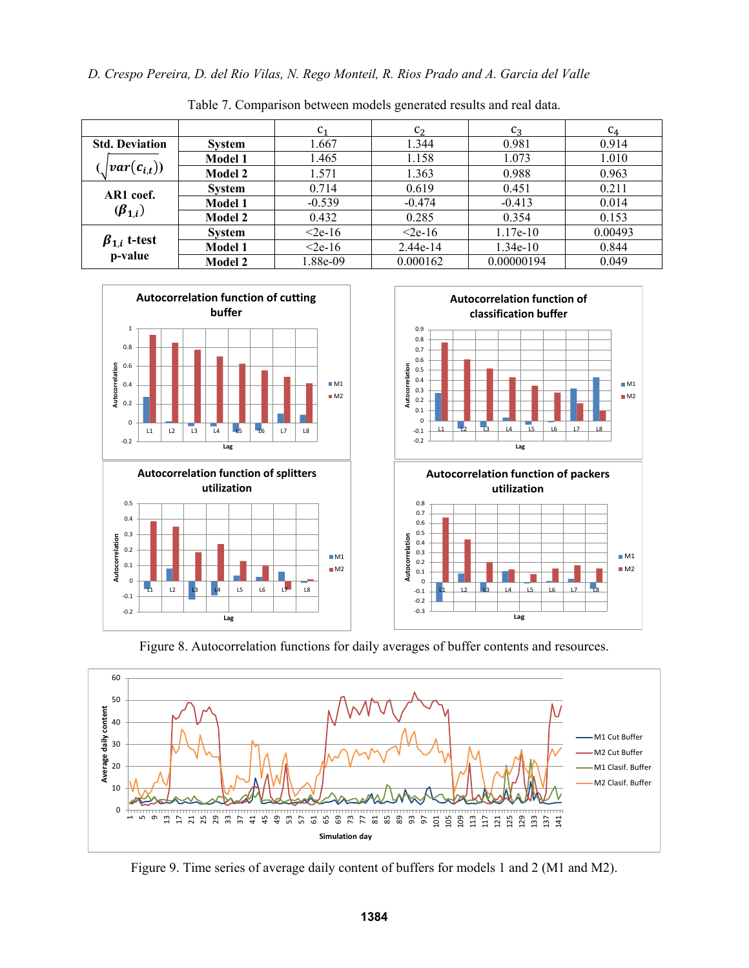|                                           |                | C <sub>1</sub> | $c_2$        | $C_3$      | $C_4$   |
|-------------------------------------------|----------------|----------------|--------------|------------|---------|
| <b>Std. Deviation</b>                     | <b>System</b>  | 1.667          | 1.344        | 0.981      | 0.914   |
| $ var(c_{i,t}))$                          | <b>Model 1</b> | 1.465          | 1.158        | 1.073      | 1.010   |
|                                           | <b>Model 2</b> | 1.571          | 1.363        | 0.988      | 0.963   |
| AR1 coef.<br>$(\boldsymbol{\beta}_{1,i})$ | <b>System</b>  | 0.714          | 0.619        | 0.451      | 0.211   |
|                                           | Model 1        | $-0.539$       | $-0.474$     | $-0.413$   | 0.014   |
|                                           | <b>Model 2</b> | 0.432          | 0.285        | 0.354      | 0.153   |
| $\beta_{1,i}$ t-test<br>p-value           | <b>System</b>  | $\leq$ 2e-16   | $\leq$ 2e-16 | 1.17e-10   | 0.00493 |
|                                           | Model 1        | $2e-16$        | 2.44e-14     | 1.34e-10   | 0.844   |
|                                           | <b>Model 2</b> | 1.88e-09       | 0.000162     | 0.00000194 | 0.049   |

M1  $M2$ 

 $M1$  $M<sub>2</sub>$ 

Table 7. Comparison between models generated results and real data.



Figure 8. Autocorrelation functions for daily averages of buffer contents and resources.



Figure 9. Time series of average daily content of buffers for models 1 and 2 (M1 and M2).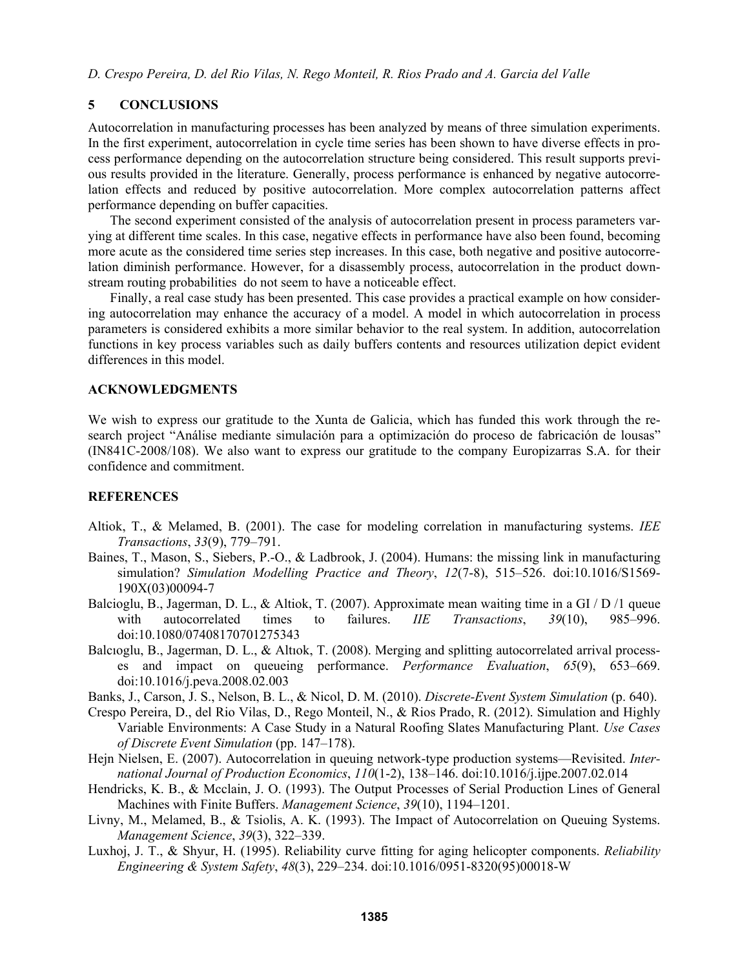## **5 CONCLUSIONS**

Autocorrelation in manufacturing processes has been analyzed by means of three simulation experiments. In the first experiment, autocorrelation in cycle time series has been shown to have diverse effects in process performance depending on the autocorrelation structure being considered. This result supports previous results provided in the literature. Generally, process performance is enhanced by negative autocorrelation effects and reduced by positive autocorrelation. More complex autocorrelation patterns affect performance depending on buffer capacities.

The second experiment consisted of the analysis of autocorrelation present in process parameters varying at different time scales. In this case, negative effects in performance have also been found, becoming more acute as the considered time series step increases. In this case, both negative and positive autocorrelation diminish performance. However, for a disassembly process, autocorrelation in the product downstream routing probabilities do not seem to have a noticeable effect.

Finally, a real case study has been presented. This case provides a practical example on how considering autocorrelation may enhance the accuracy of a model. A model in which autocorrelation in process parameters is considered exhibits a more similar behavior to the real system. In addition, autocorrelation functions in key process variables such as daily buffers contents and resources utilization depict evident differences in this model.

### **ACKNOWLEDGMENTS**

We wish to express our gratitude to the Xunta de Galicia, which has funded this work through the research project "Análise mediante simulación para a optimización do proceso de fabricación de lousas" (IN841C-2008/108). We also want to express our gratitude to the company Europizarras S.A. for their confidence and commitment.

#### **REFERENCES**

- Altiok, T., & Melamed, B. (2001). The case for modeling correlation in manufacturing systems. *IEE Transactions*, *33*(9), 779–791.
- Baines, T., Mason, S., Siebers, P.-O., & Ladbrook, J. (2004). Humans: the missing link in manufacturing simulation? *Simulation Modelling Practice and Theory*, *12*(7-8), 515–526. doi:10.1016/S1569- 190X(03)00094-7
- Balcioglu, B., Jagerman, D. L., & Altiok, T. (2007). Approximate mean waiting time in a GI / D /1 queue with autocorrelated times to failures. *IIE Transactions*, *39*(10), 985–996. doi:10.1080/07408170701275343
- Balcıoglu, B., Jagerman, D. L., & Altıok, T. (2008). Merging and splitting autocorrelated arrival processes and impact on queueing performance. *Performance Evaluation*, *65*(9), 653–669. doi:10.1016/j.peva.2008.02.003
- Banks, J., Carson, J. S., Nelson, B. L., & Nicol, D. M. (2010). *Discrete-Event System Simulation* (p. 640).
- Crespo Pereira, D., del Rio Vilas, D., Rego Monteil, N., & Rios Prado, R. (2012). Simulation and Highly Variable Environments: A Case Study in a Natural Roofing Slates Manufacturing Plant. *Use Cases of Discrete Event Simulation* (pp. 147–178).
- Hejn Nielsen, E. (2007). Autocorrelation in queuing network-type production systems—Revisited. *International Journal of Production Economics*, *110*(1-2), 138–146. doi:10.1016/j.ijpe.2007.02.014
- Hendricks, K. B., & Mcclain, J. O. (1993). The Output Processes of Serial Production Lines of General Machines with Finite Buffers. *Management Science*, *39*(10), 1194–1201.
- Livny, M., Melamed, B., & Tsiolis, A. K. (1993). The Impact of Autocorrelation on Queuing Systems. *Management Science*, *39*(3), 322–339.
- Luxhoj, J. T., & Shyur, H. (1995). Reliability curve fitting for aging helicopter components. *Reliability Engineering & System Safety*, *48*(3), 229–234. doi:10.1016/0951-8320(95)00018-W